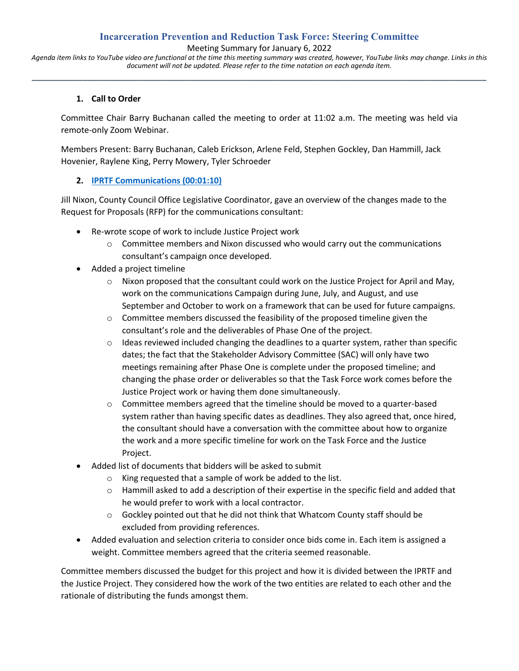## **Incarceration Prevention and Reduction Task Force: Steering Committee**

Meeting Summary for January 6, 2022

*Agenda item links to YouTube video are functional at the time this meeting summary was created, however, YouTube links may change. Links in this document will not be updated. Please refer to the time notation on each agenda item.* **\_\_\_\_\_\_\_\_\_\_\_\_\_\_\_\_\_\_\_\_\_\_\_\_\_\_\_\_\_\_\_\_\_\_\_\_\_\_\_\_\_\_\_\_\_\_\_\_\_\_\_\_\_\_\_\_\_\_\_\_\_\_\_\_\_\_\_\_\_\_\_\_\_\_\_\_\_\_\_\_\_\_\_\_\_\_\_\_\_\_\_\_\_\_\_\_\_\_**

#### **1. Call to Order**

Committee Chair Barry Buchanan called the meeting to order at 11:02 a.m. The meeting was held via remote-only Zoom Webinar.

Members Present: Barry Buchanan, Caleb Erickson, Arlene Feld, Stephen Gockley, Dan Hammill, Jack Hovenier, Raylene King, Perry Mowery, Tyler Schroeder

#### **2. [IPRTF Communications \(00:01:10\)](file:///C:/Users/jnixon/AppData/Local/Microsoft/Windows/INetCache/Content.Outlook/H1UTW62A/00:01:10%20%20IPRTF%20Communications)**

Jill Nixon, County Council Office Legislative Coordinator, gave an overview of the changes made to the Request for Proposals (RFP) for the communications consultant:

- Re-wrote scope of work to include Justice Project work
	- $\circ$  Committee members and Nixon discussed who would carry out the communications consultant's campaign once developed.
- Added a project timeline
	- $\circ$  Nixon proposed that the consultant could work on the Justice Project for April and May, work on the communications Campaign during June, July, and August, and use September and October to work on a framework that can be used for future campaigns.
	- $\circ$  Committee members discussed the feasibility of the proposed timeline given the consultant's role and the deliverables of Phase One of the project.
	- $\circ$  Ideas reviewed included changing the deadlines to a quarter system, rather than specific dates; the fact that the Stakeholder Advisory Committee (SAC) will only have two meetings remaining after Phase One is complete under the proposed timeline; and changing the phase order or deliverables so that the Task Force work comes before the Justice Project work or having them done simultaneously.
	- $\circ$  Committee members agreed that the timeline should be moved to a quarter-based system rather than having specific dates as deadlines. They also agreed that, once hired, the consultant should have a conversation with the committee about how to organize the work and a more specific timeline for work on the Task Force and the Justice Project.
- Added list of documents that bidders will be asked to submit
	- o King requested that a sample of work be added to the list.
	- $\circ$  Hammill asked to add a description of their expertise in the specific field and added that he would prefer to work with a local contractor.
	- o Gockley pointed out that he did not think that Whatcom County staff should be excluded from providing references.
- Added evaluation and selection criteria to consider once bids come in. Each item is assigned a weight. Committee members agreed that the criteria seemed reasonable.

Committee members discussed the budget for this project and how it is divided between the IPRTF and the Justice Project. They considered how the work of the two entities are related to each other and the rationale of distributing the funds amongst them.